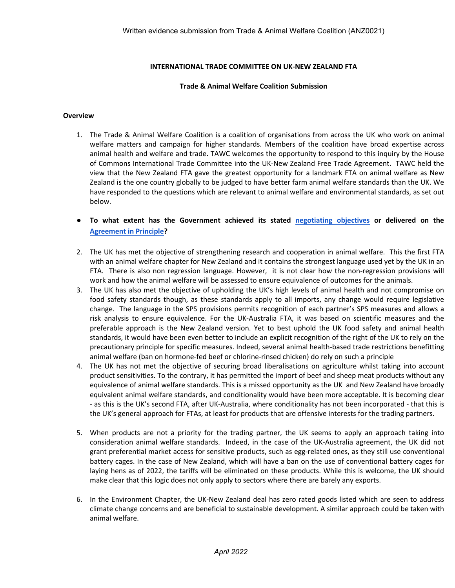# **INTERNATIONAL TRADE COMMITTEE ON UK-NEW ZEALAND FTA**

### **Trade & Animal Welfare Coalition Submission**

#### **Overview**

- 1. The Trade & Animal Welfare Coalition is a coalition of organisations from across the UK who work on animal welfare matters and campaign for higher standards. Members of the coalition have broad expertise across animal health and welfare and trade. TAWC welcomes the opportunity to respond to this inquiry by the House of Commons International Trade Committee into the UK-New Zealand Free Trade Agreement. TAWC held the view that the New Zealand FTA gave the greatest opportunity for a landmark FTA on animal welfare as New Zealand is the one country globally to be judged to have better farm animal welfare standards than the UK. We have responded to the questions which are relevant to animal welfare and environmental standards, as set out below.
- **To what extent has the Government achieved its stated [negotiating](https://assets.publishing.service.gov.uk/government/uploads/system/uploads/attachment_data/file/901870/uk-strategy-uk-nz-free-trade-agreement.pdf) [objectives](https://assets.publishing.service.gov.uk/government/uploads/system/uploads/attachment_data/file/901870/uk-strategy-uk-nz-free-trade-agreement.pdf) or delivered on the [Agreement](https://www.gov.uk/government/publications/uk-new-zealand-free-trade-agreement-negotiations-agreement-in-principle/uk-new-zealand-fta-negotiations-agreement-in-principle) [in](https://www.gov.uk/government/publications/uk-new-zealand-free-trade-agreement-negotiations-agreement-in-principle/uk-new-zealand-fta-negotiations-agreement-in-principle) [Principle?](https://www.gov.uk/government/publications/uk-new-zealand-free-trade-agreement-negotiations-agreement-in-principle/uk-new-zealand-fta-negotiations-agreement-in-principle)**
- 2. The UK has met the objective of strengthening research and cooperation in animal welfare. This the first FTA with an animal welfare chapter for New Zealand and it contains the strongest language used yet by the UK in an FTA. There is also non regression language. However, it is not clear how the non-regression provisions will work and how the animal welfare will be assessed to ensure equivalence of outcomes for the animals.
- 3. The UK has also met the objective of upholding the UK's high levels of animal health and not compromise on food safety standards though, as these standards apply to all imports, any change would require legislative change. The language in the SPS provisions permits recognition of each partner's SPS measures and allows a risk analysis to ensure equivalence. For the UK-Australia FTA, it was based on scientific measures and the preferable approach is the New Zealand version. Yet to best uphold the UK food safety and animal health standards, it would have been even better to include an explicit recognition of the right of the UK to rely on the precautionary principle for specific measures. Indeed, several animal health-based trade restrictions benefitting animal welfare (ban on hormone-fed beef or chlorine-rinsed chicken) do rely on such a principle
- 4. The UK has not met the objective of securing broad liberalisations on agriculture whilst taking into account product sensitivities. To the contrary, it has permitted the import of beef and sheep meat products without any equivalence of animal welfare standards. This is a missed opportunity as the UK and New Zealand have broadly equivalent animal welfare standards, and conditionality would have been more acceptable. It is becoming clear - as this is the UK's second FTA, after UK-Australia, where conditionality has not been incorporated - that this is the UK's general approach for FTAs, at least for products that are offensive interests for the trading partners.
- 5. When products are not a priority for the trading partner, the UK seems to apply an approach taking into consideration animal welfare standards. Indeed, in the case of the UK-Australia agreement, the UK did not grant preferential market access for sensitive products, such as egg-related ones, as they still use conventional battery cages. In the case of New Zealand, which will have a ban on the use of conventional battery cages for laying hens as of 2022, the tariffs will be eliminated on these products. While this is welcome, the UK should make clear that this logic does not only apply to sectors where there are barely any exports.
- 6. In the Environment Chapter, the UK-New Zealand deal has zero rated goods listed which are seen to address climate change concerns and are beneficial to sustainable development. A similar approach could be taken with animal welfare.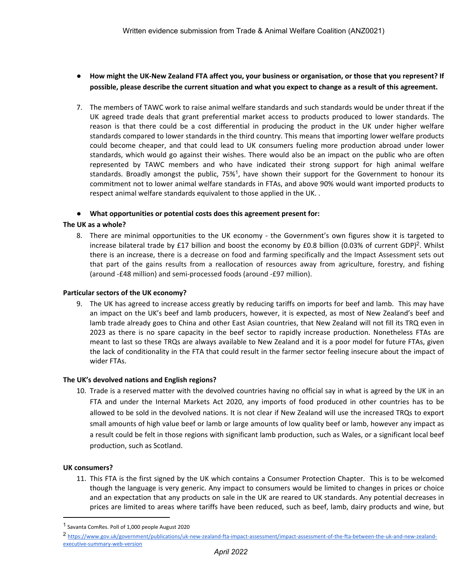- How might the UK-New Zealand FTA affect you, your business or organisation, or those that you represent? If possible, please describe the current situation and what you expect to change as a result of this agreement.
- 7. The members of TAWC work to raise animal welfare standards and such standards would be under threat if the UK agreed trade deals that grant preferential market access to products produced to lower standards. The reason is that there could be a cost differential in producing the product in the UK under higher welfare standards compared to lower standards in the third country. This means that importing lower welfare products could become cheaper, and that could lead to UK consumers fueling more production abroad under lower standards, which would go against their wishes. There would also be an impact on the public who are often represented by TAWC members and who have indicated their strong support for high animal welfare standards. Broadly amongst the public, 75%<sup>1</sup>, have shown their support for the Government to honour its commitment not to lower animal welfare standards in FTAs, and above 90% would want imported products to respect animal welfare standards equivalent to those applied in the UK. .

# ● **What opportunities or potential costs does this agreement present for:**

# **The UK as a whole?**

8. There are minimal opportunities to the UK economy - the Government's own figures show it is targeted to increase bilateral trade by £17 billion and boost the economy by £0.8 billion (0.03% of current GDP)<sup>2</sup>. Whilst there is an increase, there is a decrease on food and farming specifically and the Impact Assessment sets out that part of the gains results from a reallocation of resources away from agriculture, forestry, and fishing (around -£48 million) and semi-processed foods (around -£97 million).

## **Particular sectors of the UK economy?**

9. The UK has agreed to increase access greatly by reducing tariffs on imports for beef and lamb. This may have an impact on the UK's beef and lamb producers, however, it is expected, as most of New Zealand's beef and lamb trade already goes to China and other East Asian countries, that New Zealand will not fill its TRQ even in 2023 as there is no spare capacity in the beef sector to rapidly increase production. Nonetheless FTAs are meant to last so these TRQs are always available to New Zealand and it is a poor model for future FTAs, given the lack of conditionality in the FTA that could result in the farmer sector feeling insecure about the impact of wider FTAs.

# **The UK's devolved nations and English regions?**

10. Trade is a reserved matter with the devolved countries having no official say in what is agreed by the UK in an FTA and under the Internal Markets Act 2020, any imports of food produced in other countries has to be allowed to be sold in the devolved nations. It is not clear if New Zealand will use the increased TRQs to export small amounts of high value beef or lamb or large amounts of low quality beef or lamb, however any impact as a result could be felt in those regions with significant lamb production, such as Wales, or a significant local beef production, such as Scotland.

### **UK consumers?**

11. This FTA is the first signed by the UK which contains a Consumer Protection Chapter. This is to be welcomed though the language is very generic. Any impact to consumers would be limited to changes in prices or choice and an expectation that any products on sale in the UK are reared to UK standards. Any potential decreases in prices are limited to areas where tariffs have been reduced, such as beef, lamb, dairy products and wine, but

<sup>1</sup> Savanta ComRes. Poll of 1,000 people August 2020

<sup>2</sup> [https://www.gov.uk/government/publications/uk-new-zealand-fta-impact-assessment/impact-assessment-of-the-fta-between-the-uk-and-new-zealand](https://www.gov.uk/government/publications/uk-new-zealand-fta-impact-assessment/impact-assessment-of-the-fta-between-the-uk-and-new-zealand-executive-summary-web-version)[executive-summary-web-version](https://www.gov.uk/government/publications/uk-new-zealand-fta-impact-assessment/impact-assessment-of-the-fta-between-the-uk-and-new-zealand-executive-summary-web-version)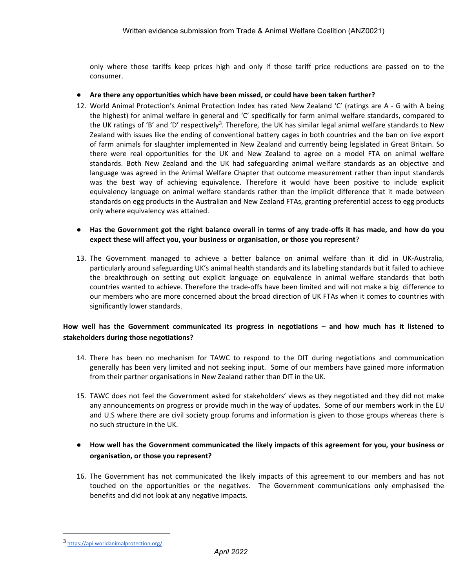only where those tariffs keep prices high and only if those tariff price reductions are passed on to the consumer.

- **Are there any opportunities which have been missed, or could have been taken further?**
- 12. World Animal Protection's Animal Protection Index has rated New Zealand 'C' (ratings are A G with A being the highest) for animal welfare in general and 'C' specifically for farm animal welfare standards, compared to the UK ratings of 'B' and 'D' respectively<sup>3</sup>. Therefore, the UK has similar legal animal welfare standards to New Zealand with issues like the ending of conventional battery cages in both countries and the ban on live export of farm animals for slaughter implemented in New Zealand and currently being legislated in Great Britain. So there were real opportunities for the UK and New Zealand to agree on a model FTA on animal welfare standards. Both New Zealand and the UK had safeguarding animal welfare standards as an objective and language was agreed in the Animal Welfare Chapter that outcome measurement rather than input standards was the best way of achieving equivalence. Therefore it would have been positive to include explicit equivalency language on animal welfare standards rather than the implicit difference that it made between standards on egg products in the Australian and New Zealand FTAs, granting preferential access to egg products only where equivalency was attained.
- Has the Government got the right balance overall in terms of any trade-offs it has made, and how do you **expect these will affect you, your business or organisation, or those you represent**?
- 13. The Government managed to achieve a better balance on animal welfare than it did in UK-Australia, particularly around safeguarding UK's animal health standards and its labelling standards but it failed to achieve the breakthrough on setting out explicit language on equivalence in animal welfare standards that both countries wanted to achieve. Therefore the trade-offs have been limited and will not make a big difference to our members who are more concerned about the broad direction of UK FTAs when it comes to countries with significantly lower standards.

# How well has the Government communicated its progress in negotiations - and how much has it listened to **stakeholders during those negotiations?**

- 14. There has been no mechanism for TAWC to respond to the DIT during negotiations and communication generally has been very limited and not seeking input. Some of our members have gained more information from their partner organisations in New Zealand rather than DIT in the UK.
- 15. TAWC does not feel the Government asked for stakeholders' views as they negotiated and they did not make any announcements on progress or provide much in the way of updates. Some of our members work in the EU and U.S where there are civil society group forums and information is given to those groups whereas there is no such structure in the UK.
- **How well has the Government communicated the likely impacts of this agreement for you, your business or organisation, or those you represent?**
- 16. The Government has not communicated the likely impacts of this agreement to our members and has not touched on the opportunities or the negatives. The Government communications only emphasised the benefits and did not look at any negative impacts.

<sup>3</sup> <https://api.worldanimalprotection.org/>